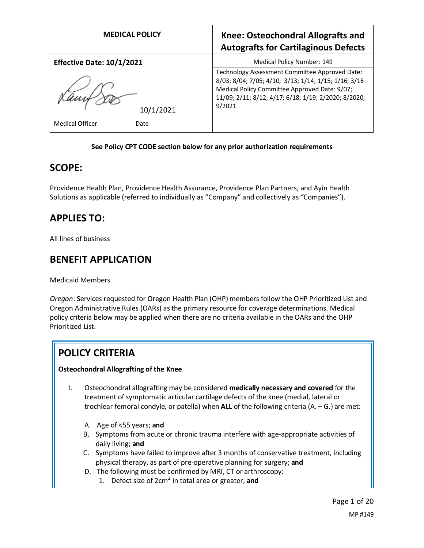| <b>MEDICAL POLICY</b>            | <b>Knee: Osteochondral Allografts and</b><br><b>Autografts for Cartilaginous Defects</b>                                                                                                                                  |
|----------------------------------|---------------------------------------------------------------------------------------------------------------------------------------------------------------------------------------------------------------------------|
| <b>Effective Date: 10/1/2021</b> | Medical Policy Number: 149                                                                                                                                                                                                |
| 10/1/2021                        | Technology Assessment Committee Approved Date:<br>8/03; 8/04; 7/05; 4/10; 3/13; 1/14; 1/15; 1/16; 3/16<br>Medical Policy Committee Approved Date: 9/07;<br>11/09; 2/11; 8/12; 4/17; 6/18; 1/19; 2/2020; 8/2020;<br>9/2021 |
| <b>Medical Officer</b><br>Date   |                                                                                                                                                                                                                           |

### **See Policy CPT CODE section below for any prior authorization requirements**

## **SCOPE:**

Providence Health Plan, Providence Health Assurance, Providence Plan Partners, and Ayin Health Solutions as applicable (referred to individually as "Company" and collectively as "Companies").

## **APPLIES TO:**

All lines of business

## **BENEFIT APPLICATION**

### Medicaid Members

*Oregon*: Services requested for Oregon Health Plan (OHP) members follow the OHP Prioritized List and Oregon Administrative Rules (OARs) as the primary resource for coverage determinations. Medical policy criteria below may be applied when there are no criteria available in the OARs and the OHP Prioritized List.

## **POLICY CRITERIA**

### **Osteochondral Allografting of the Knee**

- I. Osteochondral allografting may be considered **medically necessary and covered** for the treatment of symptomatic articular cartilage defects of the knee (medial, lateral or trochlear femoral condyle, or patella) when **ALL** of the following criteria (A. – G.) are met:
	- A. Age of <55 years; **and**
	- B. Symptoms from acute or chronic trauma interfere with age-appropriate activities of daily living; **and**
	- C. Symptoms have failed to improve after 3 months of conservative treatment, including physical therapy, as part of pre-operative planning for surgery; **and**
	- D. The following must be confirmed by MRI, CT or arthroscopy:
		- 1. Defect size of 2cm2 in total area or greater; **and**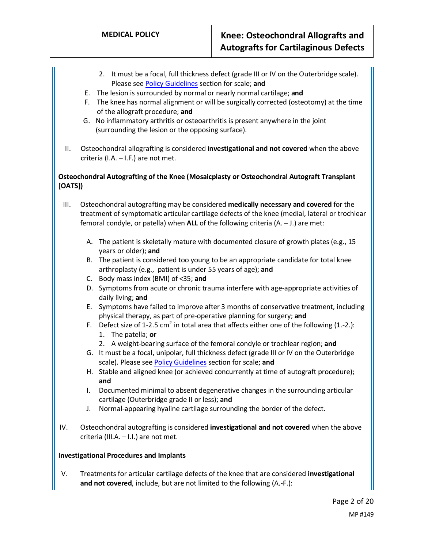- 2. It must be a focal, full thickness defect (grade III or IV on the Outerbridge scale). Please se[e Policy Guidelines](#page-2-0) section for scale; **and**
- E. The lesion is surrounded by normal or nearly normal cartilage; **and**
- F. The knee has normal alignment or will be surgically corrected (osteotomy) at the time of the allograft procedure; **and**
- G. No inflammatory arthritis or osteoarthritis is present anywhere in the joint (surrounding the lesion or the opposing surface).
- II. Osteochondral allografting is considered **investigational and not covered** when the above criteria (I.A. – I.F.) are not met.

## **Osteochondral Autografting of the Knee (Mosaicplasty or Osteochondral Autograft Transplant [OATS])**

- III. Osteochondral autografting may be considered **medically necessary and covered** for the treatment of symptomatic articular cartilage defects of the knee (medial, lateral or trochlear femoral condyle, or patella) when **ALL** of the following criteria (A. – J.) are met:
	- A. The patient is skeletally mature with documented closure of growth plates (e.g., 15 years or older); **and**
	- B. The patient is considered too young to be an appropriate candidate for total knee arthroplasty (e.g., patient is under 55 years of age); **and**
	- C. Body mass index (BMI) of <35; **and**
	- D. Symptoms from acute or chronic trauma interfere with age-appropriate activities of daily living; **and**
	- E. Symptoms have failed to improve after 3 months of conservative treatment, including physical therapy, as part of pre-operative planning for surgery; **and**
	- F. Defect size of 1-2.5 cm<sup>2</sup> in total area that affects either one of the following (1.-2.): 1. The patella; **or**
		- 2. A weight-bearing surface of the femoral condyle or trochlear region; **and**
	- G. It must be a focal, unipolar, full thickness defect (grade III or IV on the Outerbridge scale). Please se[e Policy Guidelines](#page-2-0) section for scale; **and**
	- H. Stable and aligned knee (or achieved concurrently at time of autograft procedure); **and**
	- I. Documented minimal to absent degenerative changes in the surrounding articular cartilage (Outerbridge grade II or less); **and**
	- J. Normal-appearing hyaline cartilage surrounding the border of the defect.
- IV. Osteochondral autografting is considered **investigational and not covered** when the above criteria (III.A. – I.I.) are not met.

## **Investigational Procedures and Implants**

V. Treatments for articular cartilage defects of the knee that are considered **investigational and not covered**, include, but are not limited to the following (A.-F.):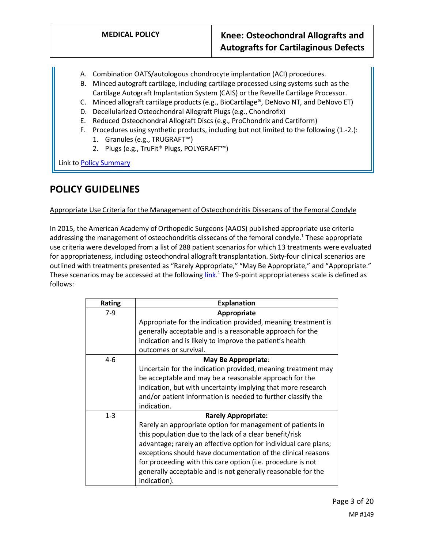- A. Combination OATS/autologous chondrocyte implantation (ACI) procedures.
- B. Minced autograft cartilage, including cartilage processed using systems such as the Cartilage Autograft Implantation System (CAIS) or the Reveille Cartilage Processor.
- C. Minced allograft cartilage products (e.g., BioCartilage®, DeNovo NT, and DeNovo ET)
- D. Decellularized Osteochondral Allograft Plugs (e.g., Chondrofix)
- E. Reduced Osteochondral Allograft Discs (e.g., ProChondrix and Cartiform)
- F. Procedures using synthetic products, including but not limited to the following (1.-2.):
	- 1. Granules (e.g., TRUGRAFT™)
	- 2. Plugs (e.g., TruFit® Plugs, POLYGRAFT™)

Link t[o Policy Summary](#page-14-0)

## <span id="page-2-0"></span>**POLICY GUIDELINES**

### Appropriate Use Criteria for the Management of Osteochondritis Dissecans of the Femoral Condyle

In 2015, the American Academy of Orthopedic Surgeons (AAOS) published appropriate use criteria addressing the management of osteochondritis dissecans of the femoral condyle.<sup>1</sup> These appropriate use criteria were developed from a list of 288 patient scenarios for which 13 treatments were evaluated for appropriateness, including osteochondral allograft transplantation. Sixty-four clinical scenarios are outlined with treatments presented as "Rarely Appropriate," "May Be Appropriate," and "Appropriate." These scenarios may be accessed at the followin[g link.](https://www.aaos.org/globalassets/quality-and-practice-resources/osteochondritis-dissecans/ocd-auc.pdf)<sup>1</sup> The 9-point appropriateness scale is defined as follows:

| Rating  | <b>Explanation</b>                                               |
|---------|------------------------------------------------------------------|
| $7-9$   | Appropriate                                                      |
|         | Appropriate for the indication provided, meaning treatment is    |
|         | generally acceptable and is a reasonable approach for the        |
|         | indication and is likely to improve the patient's health         |
|         | outcomes or survival.                                            |
| 4-6     | May Be Appropriate:                                              |
|         | Uncertain for the indication provided, meaning treatment may     |
|         | be acceptable and may be a reasonable approach for the           |
|         | indication, but with uncertainty implying that more research     |
|         | and/or patient information is needed to further classify the     |
|         | indication.                                                      |
| $1 - 3$ | <b>Rarely Appropriate:</b>                                       |
|         | Rarely an appropriate option for management of patients in       |
|         | this population due to the lack of a clear benefit/risk          |
|         | advantage; rarely an effective option for individual care plans; |
|         | exceptions should have documentation of the clinical reasons     |
|         | for proceeding with this care option (i.e. procedure is not      |
|         | generally acceptable and is not generally reasonable for the     |
|         | indication).                                                     |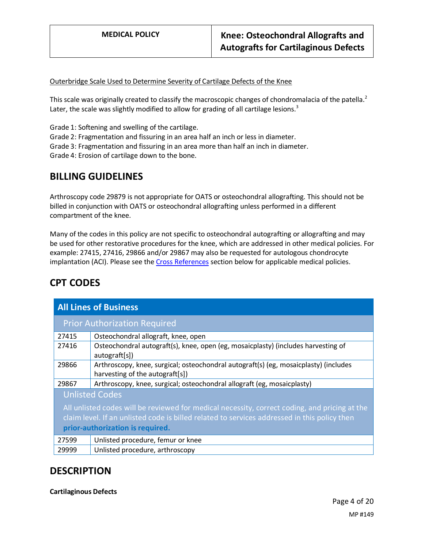Outerbridge Scale Used to Determine Severity of Cartilage Defects of the Knee

This scale was originally created to classify the macroscopic changes of chondromalacia of the patella.<sup>2</sup> Later, the scale was slightly modified to allow for grading of all cartilage lesions. $3$ 

Grade 1: Softening and swelling of the cartilage.

Grade 2: Fragmentation and fissuring in an area half an inch or less in diameter.

Grade 3: Fragmentation and fissuring in an area more than half an inch in diameter.

Grade 4: Erosion of cartilage down to the bone.

## **BILLING GUIDELINES**

Arthroscopy code 29879 is not appropriate for OATS or osteochondral allografting. This should not be billed in conjunction with OATS or osteochondral allografting unless performed in a different compartment of the knee.

Many of the codes in this policy are not specific to osteochondral autografting or allografting and may be used for other restorative procedures for the knee, which are addressed in other medical policies. For example: 27415, 27416, 29866 and/or 29867 may also be requested for autologous chondrocyte implantation (ACI). Please see the [Cross References](#page-16-0) section below for applicable medical policies.

| <b>All Lines of Business</b>                                                                  |                                                                                                    |  |
|-----------------------------------------------------------------------------------------------|----------------------------------------------------------------------------------------------------|--|
|                                                                                               | <b>Prior Authorization Required</b>                                                                |  |
| 27415                                                                                         | Osteochondral allograft, knee, open                                                                |  |
| 27416                                                                                         | Osteochondral autograft(s), knee, open (eg, mosaicplasty) (includes harvesting of<br>autograft[s]) |  |
| 29866                                                                                         | Arthroscopy, knee, surgical; osteochondral autograft(s) (eg, mosaicplasty) (includes               |  |
|                                                                                               | harvesting of the autograft[s])                                                                    |  |
| 29867                                                                                         | Arthroscopy, knee, surgical; osteochondral allograft (eg, mosaicplasty)                            |  |
| <b>Unlisted Codes</b>                                                                         |                                                                                                    |  |
| All unlisted codes will be reviewed for medical necessity, correct coding, and pricing at the |                                                                                                    |  |
| claim level. If an unlisted code is billed related to services addressed in this policy then  |                                                                                                    |  |
| prior-authorization is required.                                                              |                                                                                                    |  |
| 27599                                                                                         | Unlisted procedure, femur or knee                                                                  |  |
| 29999                                                                                         | Unlisted procedure, arthroscopy                                                                    |  |

# **CPT CODES**

## **DESCRIPTION**

**Cartilaginous Defects**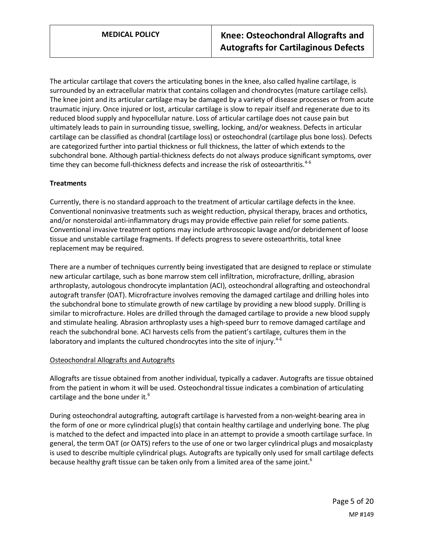The articular cartilage that covers the articulating bones in the knee, also called hyaline cartilage, is surrounded by an extracellular matrix that contains collagen and chondrocytes (mature cartilage cells). The knee joint and its articular cartilage may be damaged by a variety of disease processes or from acute traumatic injury. Once injured or lost, articular cartilage is slow to repair itself and regenerate due to its reduced blood supply and hypocellular nature. Loss of articular cartilage does not cause pain but ultimately leads to pain in surrounding tissue, swelling, locking, and/or weakness. Defects in articular cartilage can be classified as chondral (cartilage loss) or osteochondral (cartilage plus bone loss). Defects are categorized further into partial thickness or full thickness, the latter of which extends to the subchondral bone. Although partial-thickness defects do not always produce significant symptoms, over time they can become full-thickness defects and increase the risk of osteoarthritis.<sup>4-6</sup>

### **Treatments**

Currently, there is no standard approach to the treatment of articular cartilage defects in the knee. Conventional noninvasive treatments such as weight reduction, physical therapy, braces and orthotics, and/or nonsteroidal anti-inflammatory drugs may provide effective pain relief for some patients. Conventional invasive treatment options may include arthroscopic lavage and/or debridement of loose tissue and unstable cartilage fragments. If defects progress to severe osteoarthritis, total knee replacement may be required.

There are a number of techniques currently being investigated that are designed to replace or stimulate new articular cartilage, such as bone marrow stem cell infiltration, microfracture, drilling, abrasion arthroplasty, autologous chondrocyte implantation (ACI), osteochondral allografting and osteochondral autograft transfer (OAT). Microfracture involves removing the damaged cartilage and drilling holes into the subchondral bone to stimulate growth of new cartilage by providing a new blood supply. Drilling is similar to microfracture. Holes are drilled through the damaged cartilage to provide a new blood supply and stimulate healing. Abrasion arthroplasty uses a high-speed burr to remove damaged cartilage and reach the subchondral bone. ACI harvests cells from the patient's cartilage, cultures them in the laboratory and implants the cultured chondrocytes into the site of injury. $4-6$ 

### Osteochondral Allografts and Autografts

Allografts are tissue obtained from another individual, typically a cadaver. Autografts are tissue obtained from the patient in whom it will be used. Osteochondral tissue indicates a combination of articulating cartilage and the bone under it.<sup>6</sup>

During osteochondral autografting, autograft cartilage is harvested from a non-weight-bearing area in the form of one or more cylindrical plug(s) that contain healthy cartilage and underlying bone. The plug is matched to the defect and impacted into place in an attempt to provide a smooth cartilage surface. In general, the term OAT (or OATS) refers to the use of one or two larger cylindrical plugs and mosaicplasty is used to describe multiple cylindrical plugs. Autografts are typically only used for small cartilage defects because healthy graft tissue can be taken only from a limited area of the same joint.<sup>6</sup>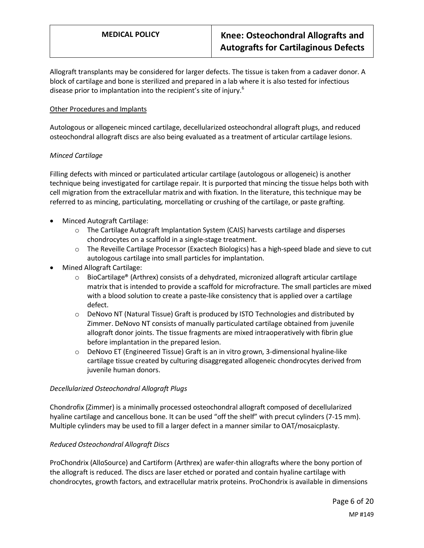Allograft transplants may be considered for larger defects. The tissue is taken from a cadaver donor. A block of cartilage and bone is sterilized and prepared in a lab where it is also tested for infectious disease prior to implantation into the recipient's site of injury.<sup>6</sup>

### Other Procedures and Implants

Autologous or allogeneic minced cartilage, decellularized osteochondral allograft plugs, and reduced osteochondral allograft discs are also being evaluated as a treatment of articular cartilage lesions.

### *Minced Cartilage*

Filling defects with minced or particulated articular cartilage (autologous or allogeneic) is another technique being investigated for cartilage repair. It is purported that mincing the tissue helps both with cell migration from the extracellular matrix and with fixation. In the literature, this technique may be referred to as mincing, particulating, morcellating or crushing of the cartilage, or paste grafting.

- Minced Autograft Cartilage:
	- $\circ$  The Cartilage Autograft Implantation System (CAIS) harvests cartilage and disperses chondrocytes on a scaffold in a single-stage treatment.
	- o The Reveille Cartilage Processor (Exactech Biologics) has a high-speed blade and sieve to cut autologous cartilage into small particles for implantation.
- Mined Allograft Cartilage:
	- o BioCartilage® (Arthrex) consists of a dehydrated, micronized allograft articular cartilage matrix that is intended to provide a scaffold for microfracture. The small particles are mixed with a blood solution to create a paste-like consistency that is applied over a cartilage defect.
	- $\circ$  DeNovo NT (Natural Tissue) Graft is produced by ISTO Technologies and distributed by Zimmer. DeNovo NT consists of manually particulated cartilage obtained from juvenile allograft donor joints. The tissue fragments are mixed intraoperatively with fibrin glue before implantation in the prepared lesion.
	- o DeNovo ET (Engineered Tissue) Graft is an in vitro grown, 3-dimensional hyaline-like cartilage tissue created by culturing disaggregated allogeneic chondrocytes derived from juvenile human donors.

### *Decellularized Osteochondral Allograft Plugs*

Chondrofix (Zimmer) is a minimally processed osteochondral allograft composed of decellularized hyaline cartilage and cancellous bone. It can be used "off the shelf" with precut cylinders (7-15 mm). Multiple cylinders may be used to fill a larger defect in a manner similar to OAT/mosaicplasty.

### *Reduced Osteochondral Allograft Discs*

ProChondrix (AlloSource) and Cartiform (Arthrex) are wafer-thin allografts where the bony portion of the allograft is reduced. The discs are laser etched or porated and contain hyaline cartilage with chondrocytes, growth factors, and extracellular matrix proteins. ProChondrix is available in dimensions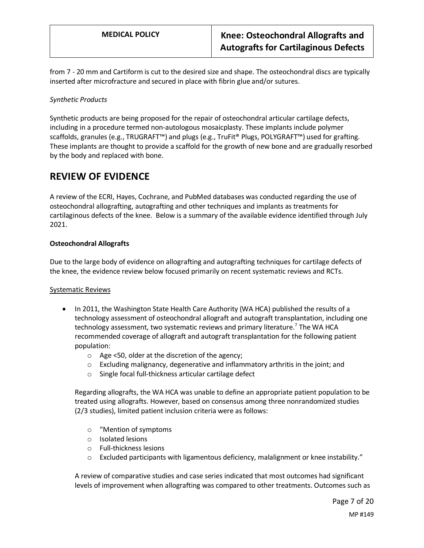from 7 - 20 mm and Cartiform is cut to the desired size and shape. The osteochondral discs are typically inserted after microfracture and secured in place with fibrin glue and/or sutures.

### *Synthetic Products*

Synthetic products are being proposed for the repair of osteochondral articular cartilage defects, including in a procedure termed non-autologous mosaicplasty. These implants include polymer scaffolds, granules (e.g., TRUGRAFT™) and plugs (e.g., TruFit® Plugs, POLYGRAFT™) used for grafting. These implants are thought to provide a scaffold for the growth of new bone and are gradually resorbed by the body and replaced with bone.

## **REVIEW OF EVIDENCE**

A review of the ECRI, Hayes, Cochrane, and PubMed databases was conducted regarding the use of osteochondral allografting, autografting and other techniques and implants as treatments for cartilaginous defects of the knee. Below is a summary of the available evidence identified through July 2021.

### **Osteochondral Allografts**

Due to the large body of evidence on allografting and autografting techniques for cartilage defects of the knee, the evidence review below focused primarily on recent systematic reviews and RCTs.

### Systematic Reviews

- In 2011, the Washington State Health Care Authority (WA HCA) published the results of a technology assessment of osteochondral allograft and autograft transplantation, including one technology assessment, two systematic reviews and primary literature. <sup>7</sup> The WA HCA recommended coverage of allograft and autograft transplantation for the following patient population:
	- o Age <50, older at the discretion of the agency;
	- o Excluding malignancy, degenerative and inflammatory arthritis in the joint; and
	- o Single focal full-thickness articular cartilage defect

Regarding allografts, the WA HCA was unable to define an appropriate patient population to be treated using allografts. However, based on consensus among three nonrandomized studies (2/3 studies), limited patient inclusion criteria were as follows:

- o "Mention of symptoms
- o Isolated lesions
- o Full-thickness lesions
- $\circ$  Excluded participants with ligamentous deficiency, malalignment or knee instability."

A review of comparative studies and case series indicated that most outcomes had significant levels of improvement when allografting was compared to other treatments. Outcomes such as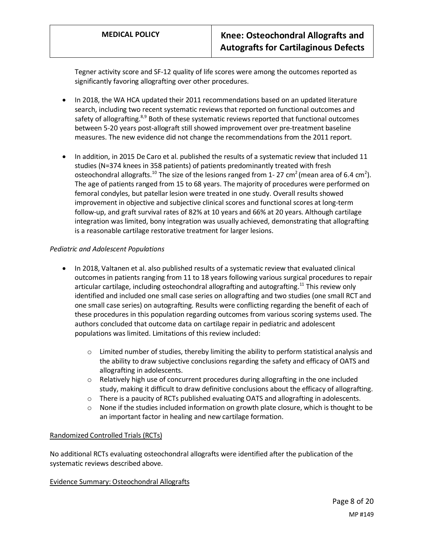Tegner activity score and SF-12 quality of life scores were among the outcomes reported as significantly favoring allografting over other procedures.

- In 2018, the WA HCA updated their 2011 recommendations based on an updated literature search, including two recent systematic reviews that reported on functional outcomes and safety of allografting.<sup>8,9</sup> Both of these systematic reviews reported that functional outcomes between 5-20 years post-allograft still showed improvement over pre-treatment baseline measures. The new evidence did not change the recommendations from the 2011 report.
- In addition, in 2015 De Caro et al. published the results of a systematic review that included 11 studies (N=374 knees in 358 patients) of patients predominantly treated with fresh osteochondral allografts.<sup>10</sup> The size of the lesions ranged from 1- 27 cm<sup>2</sup> (mean area of 6.4 cm<sup>2</sup>). The age of patients ranged from 15 to 68 years. The majority of procedures were performed on femoral condyles, but patellar lesion were treated in one study. Overall results showed improvement in objective and subjective clinical scores and functional scores at long-term follow-up, and graft survival rates of 82% at 10 years and 66% at 20 years. Although cartilage integration was limited, bony integration was usually achieved, demonstrating that allografting is a reasonable cartilage restorative treatment for larger lesions.

### *Pediatric and Adolescent Populations*

- In 2018, Valtanen et al. also published results of a systematic review that evaluated clinical outcomes in patients ranging from 11 to 18 years following various surgical procedures to repair articular cartilage, including osteochondral allografting and autografting.<sup>11</sup> This review only identified and included one small case series on allografting and two studies (one small RCT and one small case series) on autografting. Results were conflicting regarding the benefit of each of these procedures in this population regarding outcomes from various scoring systems used. The authors concluded that outcome data on cartilage repair in pediatric and adolescent populations was limited. Limitations of this review included:
	- $\circ$  Limited number of studies, thereby limiting the ability to perform statistical analysis and the ability to draw subjective conclusions regarding the safety and efficacy of OATS and allografting in adolescents.
	- $\circ$  Relatively high use of concurrent procedures during allografting in the one included study, making it difficult to draw definitive conclusions about the efficacy of allografting.
	- o There is a paucity of RCTs published evaluating OATS and allografting in adolescents.
	- $\circ$  None if the studies included information on growth plate closure, which is thought to be an important factor in healing and new cartilage formation.

### Randomized Controlled Trials (RCTs)

No additional RCTs evaluating osteochondral allografts were identified after the publication of the systematic reviews described above.

### Evidence Summary: Osteochondral Allografts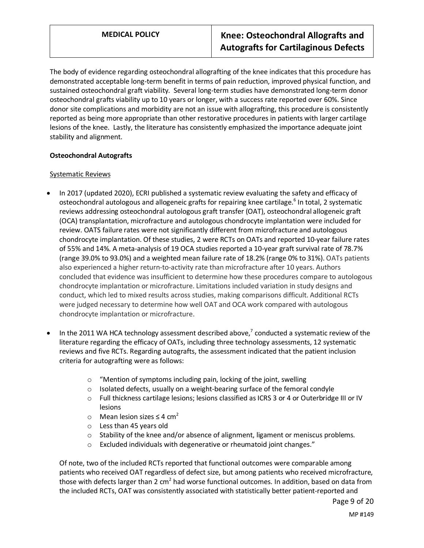The body of evidence regarding osteochondral allografting of the knee indicates that this procedure has demonstrated acceptable long-term benefit in terms of pain reduction, improved physical function, and sustained osteochondral graft viability. Several long-term studies have demonstrated long-term donor osteochondral grafts viability up to 10 years or longer, with a success rate reported over 60%. Since donor site complications and morbidity are not an issue with allografting, this procedure is consistently reported as being more appropriate than other restorative procedures in patients with larger cartilage lesions of the knee. Lastly, the literature has consistently emphasized the importance adequate joint stability and alignment.

### **Osteochondral Autografts**

### Systematic Reviews

- In 2017 (updated 2020), ECRI published a systematic review evaluating the safety and efficacy of osteochondral autologous and allogeneic grafts for repairing knee cartilage.<sup>6</sup> In total, 2 systematic reviews addressing osteochondral autologous graft transfer (OAT), osteochondral allogeneic graft (OCA) transplantation, microfracture and autologous chondrocyte implantation were included for review. OATS failure rates were not significantly different from microfracture and autologous chondrocyte implantation. Of these studies, 2 were RCTs on OATs and reported 10-year failure rates of 55% and 14%. A meta-analysis of 19 OCA studies reported a 10-year graft survival rate of 78.7% (range 39.0% to 93.0%) and a weighted mean failure rate of 18.2% (range 0% to 31%). OATs patients also experienced a higher return-to-activity rate than microfracture after 10 years. Authors concluded that evidence was insufficient to determine how these procedures compare to autologous chondrocyte implantation or microfracture. Limitations included variation in study designs and conduct, which led to mixed results across studies, making comparisons difficult. Additional RCTs were judged necessary to determine how well OAT and OCA work compared with autologous chondrocyte implantation or microfracture.
- In the 2011 WA HCA technology assessment described above,<sup>7</sup> conducted a systematic review of the literature regarding the efficacy of OATs, including three technology assessments, 12 systematic reviews and five RCTs. Regarding autografts, the assessment indicated that the patient inclusion criteria for autografting were as follows:
	- o "Mention of symptoms including pain, locking of the joint, swelling
	- o Isolated defects, usually on a weight-bearing surface of the femoral condyle
	- o Full thickness cartilage lesions; lesions classified as ICRS 3 or 4 or Outerbridge III or IV lesions
	- o Mean lesion sizes ≤ 4 cm<sup>2</sup>
	- o Less than 45 years old
	- $\circ$  Stability of the knee and/or absence of alignment, ligament or meniscus problems.
	- o Excluded individuals with degenerative or rheumatoid joint changes."

Of note, two of the included RCTs reported that functional outcomes were comparable among patients who received OAT regardless of defect size, but among patients who received microfracture, those with defects larger than 2 cm<sup>2</sup> had worse functional outcomes. In addition, based on data from the included RCTs, OAT was consistently associated with statistically better patient-reported and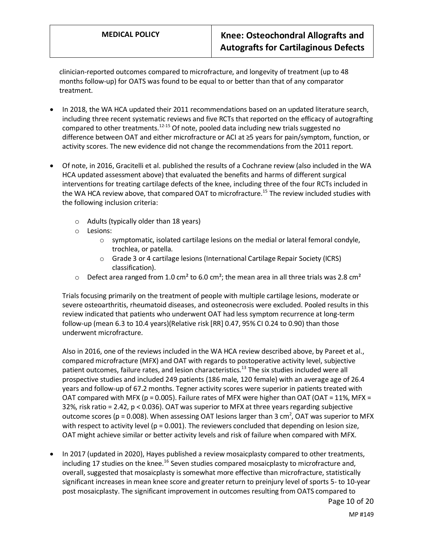clinician-reported outcomes compared to microfracture, and longevity of treatment (up to 48 months follow-up) for OATS was found to be equal to or better than that of any comparator treatment.

- In 2018, the WA HCA updated their 2011 recommendations based on an updated literature search, including three recent systematic reviews and five RCTs that reported on the efficacy of autografting compared to other treatments.<sup>12-15</sup> Of note, pooled data including new trials suggested no difference between OAT and either microfracture or ACI at ≥5 years for pain/symptom, function, or activity scores. The new evidence did not change the recommendations from the 2011 report.
- Of note, in 2016, Gracitelli et al. published the results of a Cochrane review (also included in the WA HCA updated assessment above) that evaluated the benefits and harms of different surgical interventions for treating cartilage defects of the knee, including three of the four RCTs included in the WA HCA review above, that compared OAT to microfracture.<sup>15</sup> The review included studies with the following inclusion criteria:
	- $\circ$  Adults (typically older than 18 years)
	- o Lesions:
		- $\circ$  symptomatic, isolated cartilage lesions on the medial or lateral femoral condyle, trochlea, or patella.
		- o Grade 3 or 4 cartilage lesions (International Cartilage Repair Society (ICRS) classification).
	- $\circ$  Defect area ranged from 1.0 cm<sup>2</sup> to 6.0 cm<sup>2</sup>; the mean area in all three trials was 2.8 cm<sup>2</sup>

Trials focusing primarily on the treatment of people with multiple cartilage lesions, moderate or severe osteoarthritis, rheumatoid diseases, and osteonecrosis were excluded. Pooled results in this review indicated that patients who underwent OAT had less symptom recurrence at long-term follow-up (mean 6.3 to 10.4 years)(Relative risk [RR] 0.47, 95% CI 0.24 to 0.90) than those underwent microfracture.

Also in 2016, one of the reviews included in the WA HCA review described above, by Pareet et al., compared microfracture (MFX) and OAT with regards to postoperative activity level, subjective patient outcomes, failure rates, and lesion characteristics.<sup>13</sup> The six studies included were all prospective studies and included 249 patients (186 male, 120 female) with an average age of 26.4 years and follow-up of 67.2 months. Tegner activity scores were superior in patients treated with OAT compared with MFX ( $p = 0.005$ ). Failure rates of MFX were higher than OAT (OAT = 11%, MFX = 32%, risk ratio = 2.42, p < 0.036). OAT was superior to MFX at three years regarding subjective outcome scores ( $p = 0.008$ ). When assessing OAT lesions larger than 3 cm<sup>2</sup>, OAT was superior to MFX with respect to activity level ( $p = 0.001$ ). The reviewers concluded that depending on lesion size, OAT might achieve similar or better activity levels and risk of failure when compared with MFX.

• In 2017 (updated in 2020), Hayes published a review mosaicplasty compared to other treatments, including 17 studies on the knee.<sup>16</sup> Seven studies compared mosaicplasty to microfracture and, overall, suggested that mosaicplasty is somewhat more effective than microfracture, statistically significant increases in mean knee score and greater return to preinjury level of sports 5- to 10-year post mosaicplasty. The significant improvement in outcomes resulting from OATS compared to

MP #149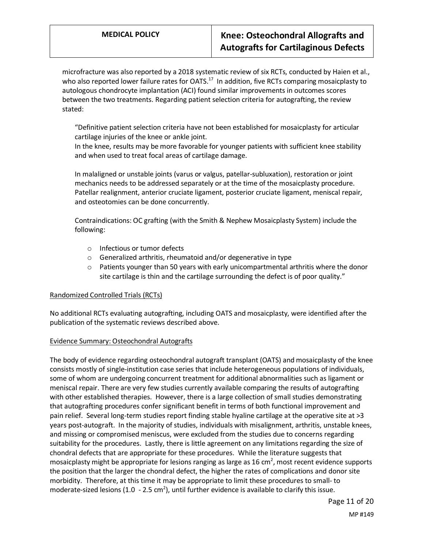microfracture was also reported by a 2018 systematic review of six RCTs, conducted by Haien et al., who also reported lower failure rates for OATS.<sup>17</sup> In addition, five RCTs comparing mosaicplasty to autologous chondrocyte implantation (ACI) found similar improvements in outcomes scores between the two treatments. Regarding patient selection criteria for autografting, the review stated:

"Definitive patient selection criteria have not been established for mosaicplasty for articular cartilage injuries of the knee or ankle joint.

In the knee, results may be more favorable for younger patients with sufficient knee stability and when used to treat focal areas of cartilage damage.

In malaligned or unstable joints (varus or valgus, patellar-subluxation), restoration or joint mechanics needs to be addressed separately or at the time of the mosaicplasty procedure. Patellar realignment, anterior cruciate ligament, posterior cruciate ligament, meniscal repair, and osteotomies can be done concurrently.

Contraindications: OC grafting (with the Smith & Nephew Mosaicplasty System) include the following:

- o Infectious or tumor defects
- o Generalized arthritis, rheumatoid and/or degenerative in type
- $\circ$  Patients younger than 50 years with early unicompartmental arthritis where the donor site cartilage is thin and the cartilage surrounding the defect is of poor quality."

### Randomized Controlled Trials (RCTs)

No additional RCTs evaluating autografting, including OATS and mosaicplasty, were identified after the publication of the systematic reviews described above.

### Evidence Summary: Osteochondral Autografts

The body of evidence regarding osteochondral autograft transplant (OATS) and mosaicplasty of the knee consists mostly of single-institution case series that include heterogeneous populations of individuals, some of whom are undergoing concurrent treatment for additional abnormalities such as ligament or meniscal repair. There are very few studies currently available comparing the results of autografting with other established therapies. However, there is a large collection of small studies demonstrating that autografting procedures confer significant benefit in terms of both functional improvement and pain relief. Several long-term studies report finding stable hyaline cartilage at the operative site at >3 years post-autograft. In the majority of studies, individuals with misalignment, arthritis, unstable knees, and missing or compromised meniscus, were excluded from the studies due to concerns regarding suitability for the procedures. Lastly, there is little agreement on any limitations regarding the size of chondral defects that are appropriate for these procedures. While the literature suggests that mosaicplasty might be appropriate for lesions ranging as large as 16 cm<sup>2</sup>, most recent evidence supports the position that the larger the chondral defect, the higher the rates of complications and donor site morbidity. Therefore, at this time it may be appropriate to limit these procedures to small- to moderate-sized lesions (1.0 - 2.5 cm<sup>2</sup>), until further evidence is available to clarify this issue.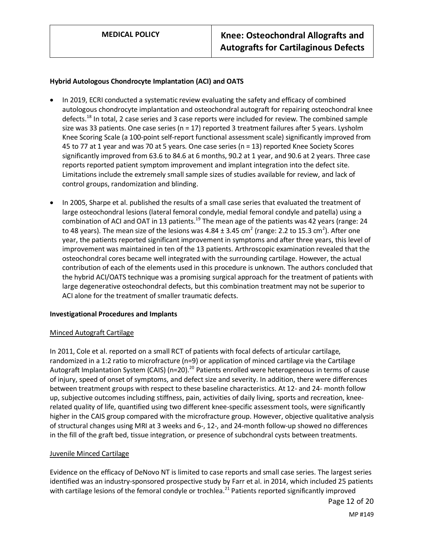## **Hybrid Autologous Chondrocyte Implantation (ACI) and OATS**

- In 2019, ECRI conducted a systematic review evaluating the safety and efficacy of combined autologous chondrocyte implantation and osteochondral autograft for repairing osteochondral knee defects.<sup>18</sup> In total, 2 case series and 3 case reports were included for review. The combined sample size was 33 patients. One case series (n = 17) reported 3 treatment failures after 5 years. Lysholm Knee Scoring Scale (a 100-point self-report functional assessment scale) significantly improved from 45 to 77 at 1 year and was 70 at 5 years. One case series (n = 13) reported Knee Society Scores significantly improved from 63.6 to 84.6 at 6 months, 90.2 at 1 year, and 90.6 at 2 years. Three case reports reported patient symptom improvement and implant integration into the defect site. Limitations include the extremely small sample sizes of studies available for review, and lack of control groups, randomization and blinding.
- In 2005, Sharpe et al. published the results of a small case series that evaluated the treatment of large osteochondral lesions (lateral femoral condyle, medial femoral condyle and patella) using a combination of ACI and OAT in 13 patients.<sup>19</sup> The mean age of the patients was 42 years (range: 24 to 48 years). The mean size of the lesions was 4.84  $\pm$  3.45 cm<sup>2</sup> (range: 2.2 to 15.3 cm<sup>2</sup>). After one year, the patients reported significant improvement in symptoms and after three years, this level of improvement was maintained in ten of the 13 patients. Arthroscopic examination revealed that the osteochondral cores became well integrated with the surrounding cartilage. However, the actual contribution of each of the elements used in this procedure is unknown. The authors concluded that the hybrid ACI/OATS technique was a promising surgical approach for the treatment of patients with large degenerative osteochondral defects, but this combination treatment may not be superior to ACI alone for the treatment of smaller traumatic defects.

### **Investigational Procedures and Implants**

#### Minced Autograft Cartilage

In 2011, Cole et al. reported on a small RCT of patients with focal defects of articular cartilage, randomized in a 1:2 ratio to microfracture (n=9) or application of minced cartilage via the Cartilage Autograft Implantation System (CAIS) (n=20).<sup>20</sup> Patients enrolled were heterogeneous in terms of cause of injury, speed of onset of symptoms, and defect size and severity. In addition, there were differences between treatment groups with respect to these baseline characteristics. At 12- and 24- month follow up, subjective outcomes including stiffness, pain, activities of daily living, sports and recreation, kneerelated quality of life, quantified using two different knee-specific assessment tools, were significantly higher in the CAIS group compared with the microfracture group. However, objective qualitative analysis of structural changes using MRI at 3 weeks and 6-, 12-, and 24-month follow-up showed no differences in the fill of the graft bed, tissue integration, or presence of subchondral cysts between treatments.

### Juvenile Minced Cartilage

Evidence on the efficacy of DeNovo NT is limited to case reports and small case series. The largest series identified was an industry-sponsored prospective study by Farr et al. in 2014, which included 25 patients with cartilage lesions of the femoral condyle or trochlea.<sup>21</sup> Patients reported significantly improved

Page 12 of 20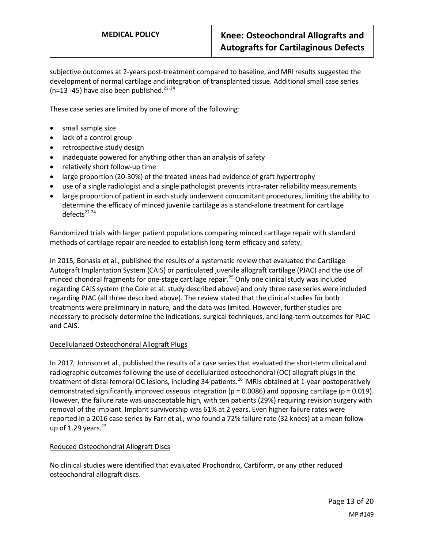subjective outcomes at 2-years post-treatment compared to baseline, and MRI results suggested the development of normal cartilage and integration of transplanted tissue. Additional small case series ( $n=13 - 45$ ) have also been published.<sup>22-24</sup>

These case series are limited by one of more of the following:

- small sample size
- lack of a control group
- retrospective study design
- inadequate powered for anything other than an analysis of safety
- relatively short follow-up time
- large proportion (20-30%) of the treated knees had evidence of graft hypertrophy
- use of a single radiologist and a single pathologist prevents intra-rater reliability measurements
- large proportion of patient in each study underwent concomitant procedures, limiting the ability to determine the efficacy of minced juvenile cartilage as a stand-alone treatment for cartilage  $defects<sup>22,24</sup>$

Randomized trials with larger patient populations comparing minced cartilage repair with standard methods of cartilage repair are needed to establish long-term efficacy and safety.

In 2015, Bonasia et al., published the results of a systematic review that evaluated the Cartilage Autograft Implantation System (CAIS) or particulated juvenile allograft cartilage (PJAC) and the use of minced chondral fragments for one-stage cartilage repair.<sup>25</sup> Only one clinical study was included regarding CAIS system (the Cole et al. study described above) and only three case series were included regarding PJAC (all three described above). The review stated that the clinical studies for both treatments were preliminary in nature, and the data was limited. However, further studies are necessary to precisely determine the indications, surgical techniques, and long-term outcomes for PJAC and CAIS.

## Decellularized Osteochondral Allograft Plugs

In 2017, Johnson et al., published the results of a case series that evaluated the short-term clinical and radiographic outcomes following the use of decellularized osteochondral (OC) allograft plugs in the treatment of distal femoral OC lesions, including 34 patients.<sup>26</sup> MRIs obtained at 1-year postoperatively demonstrated significantly improved osseous integration ( $p = 0.0086$ ) and opposing cartilage ( $p = 0.019$ ). However, the failure rate was unacceptable high, with ten patients (29%) requiring revision surgery with removal of the implant. Implant survivorship was 61% at 2 years. Even higher failure rates were reported in a 2016 case series by Farr et al., who found a 72% failure rate (32 knees) at a mean followup of 1.29 years. $27$ 

### Reduced Osteochondral Allograft Discs

No clinical studies were identified that evaluated Prochondrix, Cartiform, or any other reduced osteochondral allograft discs.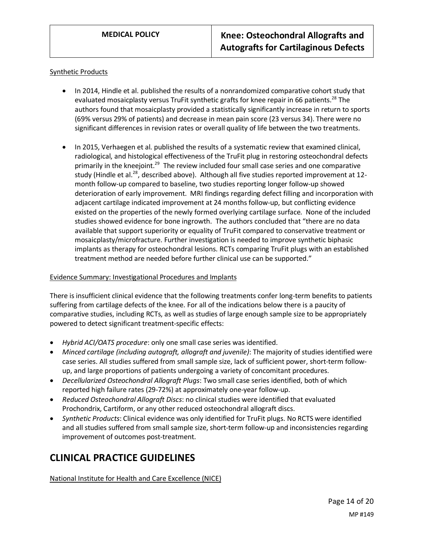### Synthetic Products

- In 2014, Hindle et al. published the results of a nonrandomized comparative cohort study that evaluated mosaicplasty versus TruFit synthetic grafts for knee repair in 66 patients.<sup>28</sup> The authors found that mosaicplasty provided a statistically significantly increase in return to sports (69% versus 29% of patients) and decrease in mean pain score (23 versus 34). There were no significant differences in revision rates or overall quality of life between the two treatments.
- In 2015, Verhaegen et al. published the results of a systematic review that examined clinical, radiological, and histological effectiveness of the TruFit plug in restoring osteochondral defects primarily in the kneejoint.<sup>29</sup> The review included four small case series and one comparative study (Hindle et al.<sup>28</sup>, described above). Although all five studies reported improvement at 12month follow-up compared to baseline, two studies reporting longer follow-up showed deterioration of early improvement. MRI findings regarding defect filling and incorporation with adjacent cartilage indicated improvement at 24 months follow-up, but conflicting evidence existed on the properties of the newly formed overlying cartilage surface. None of the included studies showed evidence for bone ingrowth. The authors concluded that "there are no data available that support superiority or equality of TruFit compared to conservative treatment or mosaicplasty/microfracture. Further investigation is needed to improve synthetic biphasic implants as therapy for osteochondral lesions. RCTs comparing TruFit plugs with an established treatment method are needed before further clinical use can be supported."

### Evidence Summary: Investigational Procedures and Implants

There is insufficient clinical evidence that the following treatments confer long-term benefits to patients suffering from cartilage defects of the knee. For all of the indications below there is a paucity of comparative studies, including RCTs, as well as studies of large enough sample size to be appropriately powered to detect significant treatment-specific effects:

- *Hybrid ACI/OATS procedure*: only one small case series was identified.
- *Minced cartilage (including autograft, allograft and juvenile)*: The majority of studies identified were case series. All studies suffered from small sample size, lack of sufficient power, short-term followup, and large proportions of patients undergoing a variety of concomitant procedures.
- *Decellularized Osteochondral Allograft Plugs*: Two small case series identified, both of which reported high failure rates (29-72%) at approximately one-year follow-up.
- *Reduced Osteochondral Allograft Discs*: no clinical studies were identified that evaluated Prochondrix, Cartiform, or any other reduced osteochondral allograft discs.
- *Synthetic Products*: Clinical evidence was only identified for TruFit plugs. No RCTS were identified and all studies suffered from small sample size, short-term follow-up and inconsistencies regarding improvement of outcomes post-treatment.

## **CLINICAL PRACTICE GUIDELINES**

National Institute for Health and Care Excellence (NICE)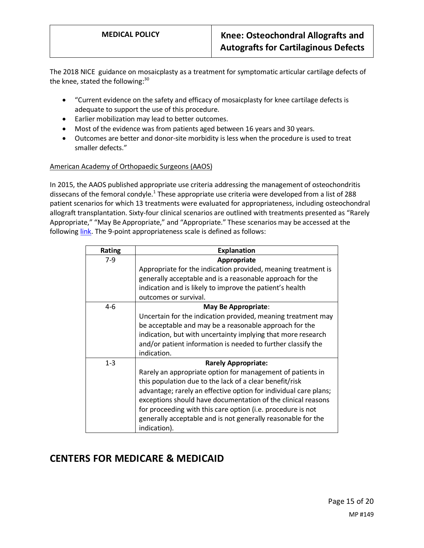The 2018 NICE guidance on mosaicplasty as a treatment for symptomatic articular cartilage defects of the knee, stated the following: $30$ 

- "Current evidence on the safety and efficacy of mosaicplasty for knee cartilage defects is adequate to support the use of this procedure.
- Earlier mobilization may lead to better outcomes.
- Most of the evidence was from patients aged between 16 years and 30 years.
- Outcomes are better and donor-site morbidity is less when the procedure is used to treat smaller defects."

### American Academy of Orthopaedic Surgeons (AAOS)

In 2015, the AAOS published appropriate use criteria addressing the management of osteochondritis dissecans of the femoral condyle.<sup>1</sup> These appropriate use criteria were developed from a list of 288 patient scenarios for which 13 treatments were evaluated for appropriateness, including osteochondral allograft transplantation. Sixty-four clinical scenarios are outlined with treatments presented as "Rarely Appropriate," "May Be Appropriate," and "Appropriate." These scenarios may be accessed at the following [link.](https://www.aaos.org/globalassets/quality-and-practice-resources/osteochondritis-dissecans/ocd-auc.pdf) The 9-point appropriateness scale is defined as follows:

| Rating  | <b>Explanation</b>                                               |
|---------|------------------------------------------------------------------|
| $7-9$   | Appropriate                                                      |
|         | Appropriate for the indication provided, meaning treatment is    |
|         | generally acceptable and is a reasonable approach for the        |
|         | indication and is likely to improve the patient's health         |
|         | outcomes or survival.                                            |
| $4 - 6$ | May Be Appropriate:                                              |
|         | Uncertain for the indication provided, meaning treatment may     |
|         | be acceptable and may be a reasonable approach for the           |
|         | indication, but with uncertainty implying that more research     |
|         | and/or patient information is needed to further classify the     |
|         | indication.                                                      |
| $1 - 3$ | <b>Rarely Appropriate:</b>                                       |
|         | Rarely an appropriate option for management of patients in       |
|         | this population due to the lack of a clear benefit/risk          |
|         | advantage; rarely an effective option for individual care plans; |
|         | exceptions should have documentation of the clinical reasons     |
|         | for proceeding with this care option (i.e. procedure is not      |
|         | generally acceptable and is not generally reasonable for the     |
|         | indication).                                                     |

## <span id="page-14-0"></span>**CENTERS FOR MEDICARE & MEDICAID**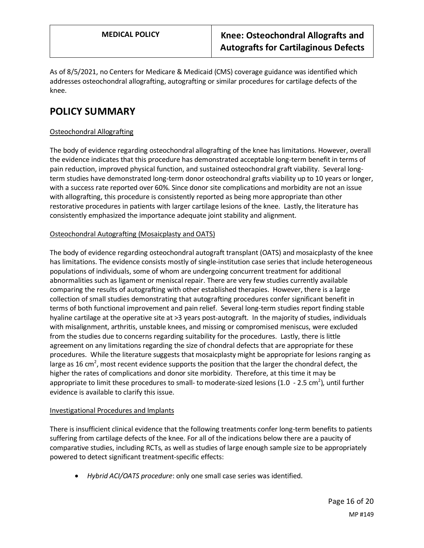As of 8/5/2021, no Centers for Medicare & Medicaid (CMS) coverage guidance was identified which addresses osteochondral allografting, autografting or similar procedures for cartilage defects of the knee.

## **POLICY SUMMARY**

## Osteochondral Allografting

The body of evidence regarding osteochondral allografting of the knee has limitations. However, overall the evidence indicates that this procedure has demonstrated acceptable long-term benefit in terms of pain reduction, improved physical function, and sustained osteochondral graft viability. Several longterm studies have demonstrated long-term donor osteochondral grafts viability up to 10 years or longer, with a success rate reported over 60%. Since donor site complications and morbidity are not an issue with allografting, this procedure is consistently reported as being more appropriate than other restorative procedures in patients with larger cartilage lesions of the knee. Lastly, the literature has consistently emphasized the importance adequate joint stability and alignment.

### Osteochondral Autografting (Mosaicplasty and OATS)

The body of evidence regarding osteochondral autograft transplant (OATS) and mosaicplasty of the knee has limitations. The evidence consists mostly of single-institution case series that include heterogeneous populations of individuals, some of whom are undergoing concurrent treatment for additional abnormalities such as ligament or meniscal repair. There are very few studies currently available comparing the results of autografting with other established therapies. However, there is a large collection of small studies demonstrating that autografting procedures confer significant benefit in terms of both functional improvement and pain relief. Several long-term studies report finding stable hyaline cartilage at the operative site at >3 years post-autograft. In the majority of studies, individuals with misalignment, arthritis, unstable knees, and missing or compromised meniscus, were excluded from the studies due to concerns regarding suitability for the procedures. Lastly, there is little agreement on any limitations regarding the size of chondral defects that are appropriate for these procedures. While the literature suggests that mosaicplasty might be appropriate for lesions ranging as large as 16 cm<sup>2</sup>, most recent evidence supports the position that the larger the chondral defect, the higher the rates of complications and donor site morbidity. Therefore, at this time it may be appropriate to limit these procedures to small- to moderate-sized lesions (1.0 - 2.5 cm<sup>2</sup>), until further evidence is available to clarify this issue.

### Investigational Procedures and Implants

There is insufficient clinical evidence that the following treatments confer long-term benefits to patients suffering from cartilage defects of the knee. For all of the indications below there are a paucity of comparative studies, including RCTs, as well as studies of large enough sample size to be appropriately powered to detect significant treatment-specific effects:

• *Hybrid ACI/OATS procedure*: only one small case series was identified.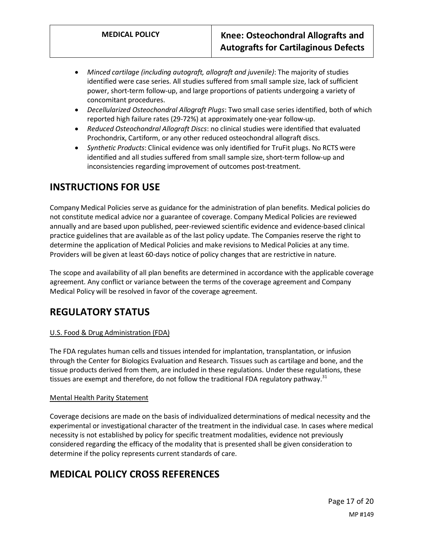- *Minced cartilage (including autograft, allograft and juvenile)*: The majority of studies identified were case series. All studies suffered from small sample size, lack of sufficient power, short-term follow-up, and large proportions of patients undergoing a variety of concomitant procedures.
- *Decellularized Osteochondral Allograft Plugs*: Two small case series identified, both of which reported high failure rates (29-72%) at approximately one-year follow-up.
- *Reduced Osteochondral Allograft Discs*: no clinical studies were identified that evaluated Prochondrix, Cartiform, or any other reduced osteochondral allograft discs.
- *Synthetic Products*: Clinical evidence was only identified for TruFit plugs. No RCTS were identified and all studies suffered from small sample size, short-term follow-up and inconsistencies regarding improvement of outcomes post-treatment.

# **INSTRUCTIONS FOR USE**

Company Medical Policies serve as guidance for the administration of plan benefits. Medical policies do not constitute medical advice nor a guarantee of coverage. Company Medical Policies are reviewed annually and are based upon published, peer-reviewed scientific evidence and evidence-based clinical practice guidelines that are available as of the last policy update. The Companies reserve the right to determine the application of Medical Policies and make revisions to Medical Policies at any time. Providers will be given at least 60-days notice of policy changes that are restrictive in nature.

The scope and availability of all plan benefits are determined in accordance with the applicable coverage agreement. Any conflict or variance between the terms of the coverage agreement and Company Medical Policy will be resolved in favor of the coverage agreement.

## **REGULATORY STATUS**

## U.S. Food & Drug Administration (FDA)

The FDA regulates human cells and tissues intended for implantation, transplantation, or infusion through the Center for Biologics Evaluation and Research. Tissues such as cartilage and bone, and the tissue products derived from them, are included in these regulations. Under these regulations, these tissues are exempt and therefore, do not follow the traditional FDA regulatory pathway.<sup>31</sup>

## Mental Health Parity Statement

Coverage decisions are made on the basis of individualized determinations of medical necessity and the experimental or investigational character of the treatment in the individual case. In cases where medical necessity is not established by policy for specific treatment modalities, evidence not previously considered regarding the efficacy of the modality that is presented shall be given consideration to determine if the policy represents current standards of care.

# <span id="page-16-0"></span>**MEDICAL POLICY CROSS REFERENCES**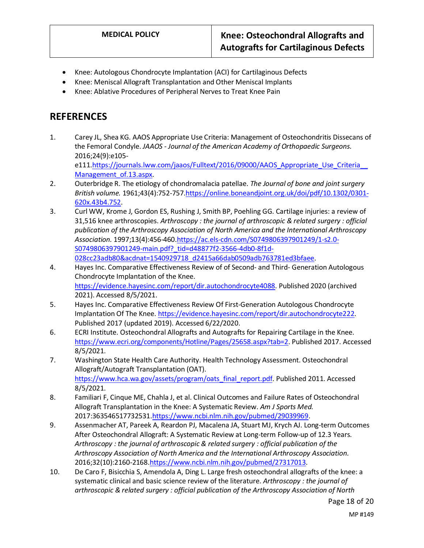- Knee: Autologous Chondrocyte Implantation (ACI) for Cartilaginous Defects
- Knee: Meniscal Allograft Transplantation and Other Meniscal Implants
- Knee: Ablative Procedures of Peripheral Nerves to Treat Knee Pain

## **REFERENCES**

- 1. Carey JL, Shea KG. AAOS Appropriate Use Criteria: Management of Osteochondritis Dissecans of the Femoral Condyle. *JAAOS - Journal of the American Academy of Orthopaedic Surgeons.*  2016;24(9):e105 e111.https://journals.lww.com/jaaos/Fulltext/2016/09000/AAOS\_Appropriate\_Use\_Criteria Management of.13.aspx.
- 2. Outerbridge R. The etiology of chondromalacia patellae. *The Journal of bone and joint surgery British volume.* 1961;43(4):752-757[.https://online.boneandjoint.org.uk/doi/pdf/10.1302/0301-](https://online.boneandjoint.org.uk/doi/pdf/10.1302/0301-620x.43b4.752) [620x.43b4.752.](https://online.boneandjoint.org.uk/doi/pdf/10.1302/0301-620x.43b4.752)
- 3. Curl WW, Krome J, Gordon ES, Rushing J, Smith BP, Poehling GG. Cartilage injuries: a review of 31,516 knee arthroscopies. *Arthroscopy : the journal of arthroscopic & related surgery : official publication of the Arthroscopy Association of North America and the International Arthroscopy Association.* 1997;13(4):456-460[.https://ac.els-cdn.com/S0749806397901249/1-s2.0-](https://ac.els-cdn.com/S0749806397901249/1-s2.0-S0749806397901249-main.pdf?_tid=d48877f2-3566-4db0-8f1d-028cc23adb80&acdnat=1540929718_d2415a66dab0509adb763781ed3bfaee) [S0749806397901249-main.pdf?\\_tid=d48877f2-3566-4db0-8f1d-](https://ac.els-cdn.com/S0749806397901249/1-s2.0-S0749806397901249-main.pdf?_tid=d48877f2-3566-4db0-8f1d-028cc23adb80&acdnat=1540929718_d2415a66dab0509adb763781ed3bfaee)[028cc23adb80&acdnat=1540929718\\_d2415a66dab0509adb763781ed3bfaee.](https://ac.els-cdn.com/S0749806397901249/1-s2.0-S0749806397901249-main.pdf?_tid=d48877f2-3566-4db0-8f1d-028cc23adb80&acdnat=1540929718_d2415a66dab0509adb763781ed3bfaee)
- 4. Hayes Inc. Comparative Effectiveness Review of of Second- and Third- Generation Autologous Chondrocyte Implantation of the Knee. [https://evidence.hayesinc.com/report/dir.autochondrocyte4088.](https://evidence.hayesinc.com/report/dir.autochondrocyte4088) Published 2020 (archived 2021). Accessed 8/5/2021.
- 5. Hayes Inc. Comparative Effectiveness Review Of First-Generation Autologous Chondrocyte Implantation Of The Knee. [https://evidence.hayesinc.com/report/dir.autochondrocyte222.](https://evidence.hayesinc.com/report/dir.autochondrocyte222) Published 2017 (updated 2019). Accessed 6/22/2020.
- 6. ECRI Institute. Osteochondral Allografts and Autografts for Repairing Cartilage in the Knee. [https://www.ecri.org/components/Hotline/Pages/25658.aspx?tab=2.](https://www.ecri.org/components/Hotline/Pages/25658.aspx?tab=2) Published 2017. Accessed 8/5/2021.
- 7. Washington State Health Care Authority. Health Technology Assessment. Osteochondral Allograft/Autograft Transplantation (OAT). [https://www.hca.wa.gov/assets/program/oats\\_final\\_report.pdf.](https://www.hca.wa.gov/assets/program/oats_final_report.pdf) Published 2011. Accessed 8/5/2021.
- 8. Familiari F, Cinque ME, Chahla J, et al. Clinical Outcomes and Failure Rates of Osteochondral Allograft Transplantation in the Knee: A Systematic Review. *Am J Sports Med.*  2017:363546517732531[.https://www.ncbi.nlm.nih.gov/pubmed/29039969.](https://www.ncbi.nlm.nih.gov/pubmed/29039969)
- 9. Assenmacher AT, Pareek A, Reardon PJ, Macalena JA, Stuart MJ, Krych AJ. Long-term Outcomes After Osteochondral Allograft: A Systematic Review at Long-term Follow-up of 12.3 Years. *Arthroscopy : the journal of arthroscopic & related surgery : official publication of the Arthroscopy Association of North America and the International Arthroscopy Association.*  2016;32(10):2160-2168[.https://www.ncbi.nlm.nih.gov/pubmed/27317013.](https://www.ncbi.nlm.nih.gov/pubmed/27317013)
- 10. De Caro F, Bisicchia S, Amendola A, Ding L. Large fresh osteochondral allografts of the knee: a systematic clinical and basic science review of the literature. *Arthroscopy : the journal of arthroscopic & related surgery : official publication of the Arthroscopy Association of North*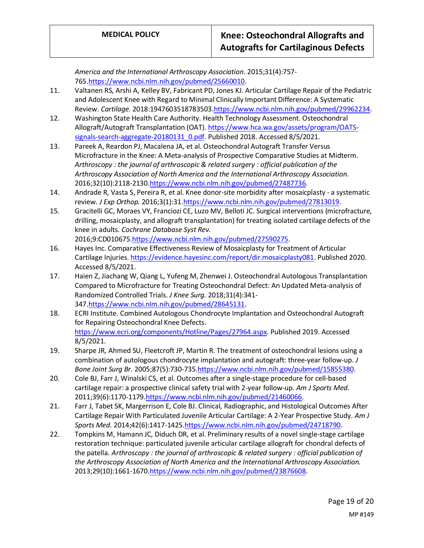*America and the International Arthroscopy Association.* 2015;31(4):757- 765[.https://www.ncbi.nlm.nih.gov/pubmed/25660010.](https://www.ncbi.nlm.nih.gov/pubmed/25660010)

- 11. Valtanen RS, Arshi A, Kelley BV, Fabricant PD, Jones KJ. Articular Cartilage Repair of the Pediatric and Adolescent Knee with Regard to Minimal Clinically Important Difference: A Systematic Review. *Cartilage.* 2018:1947603518783503[.https://www.ncbi.nlm.nih.gov/pubmed/29962234.](https://www.ncbi.nlm.nih.gov/pubmed/29962234)
- 12. Washington State Health Care Authority. Health Technology Assessment. Osteochondral Allograft/Autograft Transplantation (OAT)[. https://www.hca.wa.gov/assets/program/OATS](https://www.hca.wa.gov/assets/program/OATS-signals-search-aggregate-20180131_0.pdf)signals-search-aggregate-20180131 0.pdf. Published 2018. Accessed 8/5/2021.
- 13. Pareek A, Reardon PJ, Macalena JA, et al. Osteochondral Autograft Transfer Versus Microfracture in the Knee: A Meta-analysis of Prospective Comparative Studies at Midterm. *Arthroscopy : the journal of arthroscopic & related surgery : official publication of the Arthroscopy Association of North America and the International Arthroscopy Association.*  2016;32(10):2118-2130[.https://www.ncbi.nlm.nih.gov/pubmed/27487736.](https://www.ncbi.nlm.nih.gov/pubmed/27487736)
- 14. Andrade R, Vasta S, Pereira R, et al. Knee donor-site morbidity after mosaicplasty a systematic review. *J Exp Orthop.* 2016;3(1):31[.https://www.ncbi.nlm.nih.gov/pubmed/27813019.](https://www.ncbi.nlm.nih.gov/pubmed/27813019)
- 15. Gracitelli GC, Moraes VY, Franciozi CE, Luzo MV, Belloti JC. Surgical interventions (microfracture, drilling, mosaicplasty, and allograft transplantation) for treating isolated cartilage defects of the knee in adults. *Cochrane Database Syst Rev.*  2016;9:CD01067[5.https://www.ncbi.nlm.nih.gov/pubmed/27590275.](https://www.ncbi.nlm.nih.gov/pubmed/27590275)
- 16. Hayes Inc. Comparative Effectiveness Review of Mosaicplasty for Treatment of Articular Cartilage Injuries[. https://evidence.hayesinc.com/report/dir.mosaicplasty081.](https://evidence.hayesinc.com/report/dir.mosaicplasty081) Published 2020. Accessed 8/5/2021.
- 17. Haien Z, Jiachang W, Qiang L, Yufeng M, Zhenwei J. Osteochondral Autologous Transplantation Compared to Microfracture for Treating Osteochondral Defect: An Updated Meta-analysis of Randomized Controlled Trials. *J Knee Surg.* 2018;31(4):341- 347[.https://www.ncbi.nlm.nih.gov/pubmed/28645131.](https://www.ncbi.nlm.nih.gov/pubmed/28645131)
- 18. ECRI Institute. Combined Autologous Chondrocyte Implantation and Osteochondral Autograft for Repairing Osteochondral Knee Defects. [https://www.ecri.org/components/Hotline/Pages/27964.aspx.](https://www.ecri.org/components/Hotline/Pages/27964.aspx) Published 2019. Accessed 8/5/2021.
- 19. Sharpe JR, Ahmed SU, Fleetcroft JP, Martin R. The treatment of osteochondral lesions using a combination of autologous chondrocyte implantation and autograft: three-year follow-up. *J Bone Joint Surg Br.* 2005;87(5):730-735[.https://www.ncbi.nlm.nih.gov/pubmed/15855380.](https://www.ncbi.nlm.nih.gov/pubmed/15855380)
- 20. Cole BJ, Farr J, Winalski CS, et al. Outcomes after a single-stage procedure for cell-based cartilage repair: a prospective clinical safety trial with 2-year follow-up. *Am J Sports Med.*  2011;39(6):1170-1179[.https://www.ncbi.nlm.nih.gov/pubmed/21460066.](https://www.ncbi.nlm.nih.gov/pubmed/21460066)
- 21. Farr J, Tabet SK, Margerrison E, Cole BJ. Clinical, Radiographic, and Histological Outcomes After Cartilage Repair With Particulated Juvenile Articular Cartilage: A 2-Year Prospective Study. *Am J Sports Med.* 2014;42(6):1417-1425[.https://www.ncbi.nlm.nih.gov/pubmed/24718790.](https://www.ncbi.nlm.nih.gov/pubmed/24718790)
- 22. Tompkins M, Hamann JC, Diduch DR, et al. Preliminary results of a novel single-stage cartilage restoration technique: particulated juvenile articular cartilage allograft for chondral defects of the patella. *Arthroscopy : the journal of arthroscopic & related surgery : official publication of the Arthroscopy Association of North America and the International Arthroscopy Association.*  2013;29(10):1661-1670[.https://www.ncbi.nlm.nih.gov/pubmed/23876608.](https://www.ncbi.nlm.nih.gov/pubmed/23876608)